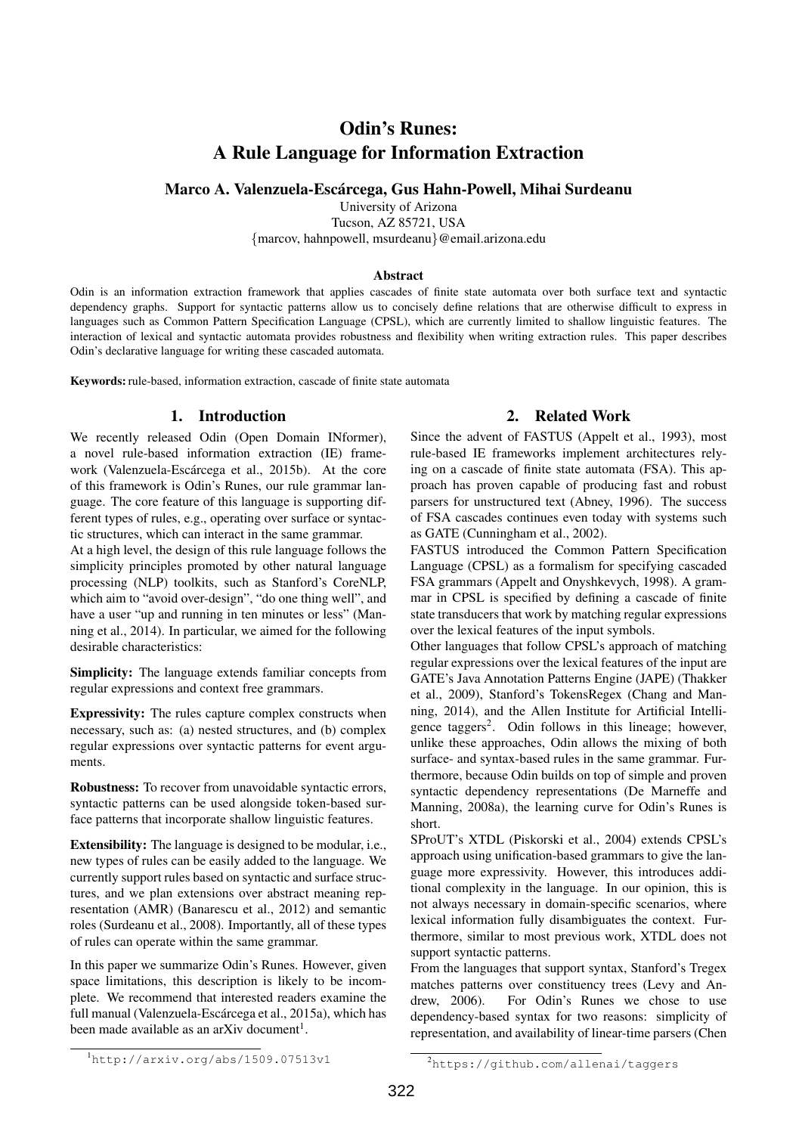# Odin's Runes: A Rule Language for Information Extraction

Marco A. Valenzuela-Escárcega, Gus Hahn-Powell, Mihai Surdeanu

University of Arizona

Tucson, AZ 85721, USA {marcov, hahnpowell, msurdeanu}@email.arizona.edu

#### Abstract

Odin is an information extraction framework that applies cascades of finite state automata over both surface text and syntactic dependency graphs. Support for syntactic patterns allow us to concisely define relations that are otherwise difficult to express in languages such as Common Pattern Specification Language (CPSL), which are currently limited to shallow linguistic features. The interaction of lexical and syntactic automata provides robustness and flexibility when writing extraction rules. This paper describes Odin's declarative language for writing these cascaded automata.

Keywords: rule-based, information extraction, cascade of finite state automata

## 1. Introduction

We recently released Odin (Open Domain INformer), a novel rule-based information extraction (IE) framework (Valenzuela-Escárcega et al., 2015b). At the core of this framework is Odin's Runes, our rule grammar language. The core feature of this language is supporting different types of rules, e.g., operating over surface or syntactic structures, which can interact in the same grammar.

At a high level, the design of this rule language follows the simplicity principles promoted by other natural language processing (NLP) toolkits, such as Stanford's CoreNLP, which aim to "avoid over-design", "do one thing well", and have a user "up and running in ten minutes or less" (Manning et al., 2014). In particular, we aimed for the following desirable characteristics:

Simplicity: The language extends familiar concepts from regular expressions and context free grammars.

Expressivity: The rules capture complex constructs when necessary, such as: (a) nested structures, and (b) complex regular expressions over syntactic patterns for event arguments.

Robustness: To recover from unavoidable syntactic errors, syntactic patterns can be used alongside token-based surface patterns that incorporate shallow linguistic features.

Extensibility: The language is designed to be modular, i.e., new types of rules can be easily added to the language. We currently support rules based on syntactic and surface structures, and we plan extensions over abstract meaning representation (AMR) (Banarescu et al., 2012) and semantic roles (Surdeanu et al., 2008). Importantly, all of these types of rules can operate within the same grammar.

In this paper we summarize Odin's Runes. However, given space limitations, this description is likely to be incomplete. We recommend that interested readers examine the full manual (Valenzuela-Escárcega et al., 2015a), which has been made available as an arXiv document<sup>1</sup>.

# 2. Related Work

Since the advent of FASTUS (Appelt et al., 1993), most rule-based IE frameworks implement architectures relying on a cascade of finite state automata (FSA). This approach has proven capable of producing fast and robust parsers for unstructured text (Abney, 1996). The success of FSA cascades continues even today with systems such as GATE (Cunningham et al., 2002).

FASTUS introduced the Common Pattern Specification Language (CPSL) as a formalism for specifying cascaded FSA grammars (Appelt and Onyshkevych, 1998). A grammar in CPSL is specified by defining a cascade of finite state transducers that work by matching regular expressions over the lexical features of the input symbols.

Other languages that follow CPSL's approach of matching regular expressions over the lexical features of the input are GATE's Java Annotation Patterns Engine (JAPE) (Thakker et al., 2009), Stanford's TokensRegex (Chang and Manning, 2014), and the Allen Institute for Artificial Intelligence taggers<sup>2</sup>. Odin follows in this lineage; however, unlike these approaches, Odin allows the mixing of both surface- and syntax-based rules in the same grammar. Furthermore, because Odin builds on top of simple and proven syntactic dependency representations (De Marneffe and Manning, 2008a), the learning curve for Odin's Runes is short.

SProUT's XTDL (Piskorski et al., 2004) extends CPSL's approach using unification-based grammars to give the language more expressivity. However, this introduces additional complexity in the language. In our opinion, this is not always necessary in domain-specific scenarios, where lexical information fully disambiguates the context. Furthermore, similar to most previous work, XTDL does not support syntactic patterns.

From the languages that support syntax, Stanford's Tregex matches patterns over constituency trees (Levy and Andrew, 2006). For Odin's Runes we chose to use dependency-based syntax for two reasons: simplicity of representation, and availability of linear-time parsers (Chen

 $<sup>1</sup>$ http://arxiv.org/abs/1509.07513v1</sup>

<sup>2</sup>https://github.com/allenai/taggers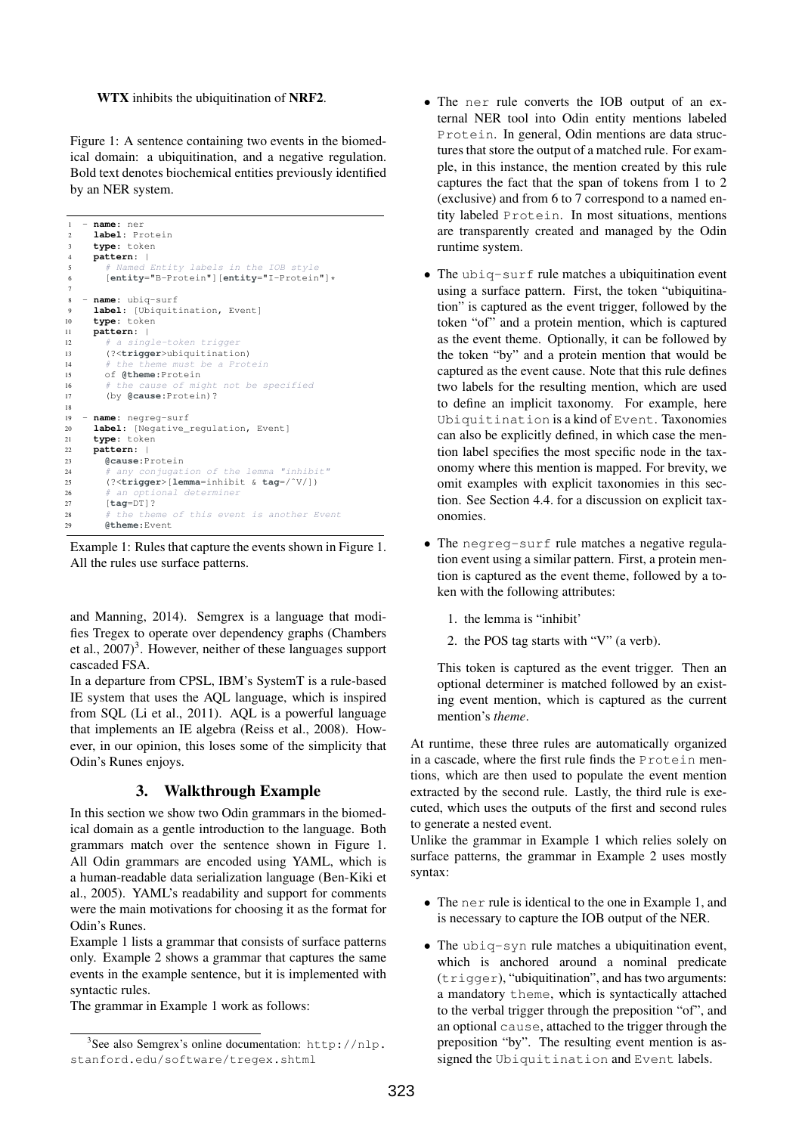#### WTX inhibits the ubiquitination of NRF2.

Figure 1: A sentence containing two events in the biomedical domain: a ubiquitination, and a negative regulation. Bold text denotes biochemical entities previously identified by an NER system.

```
1 - name: ner
     2 label: Protein
     3 type: token
     4 pattern: |
 5 # Named Entity labels in the IOB style
6 [entity="B-Protein"][entity="I-Protein"]*
7
8 - name: ubiq-surf
9 label: [Ubiquitination, Event]<br>10 type: token
     type: token
11 pattern: |
12 # a single-token trigger
13 (?<trigger>ubiquitination)
14 # the theme must be a Protein
15 of @theme:Protein
16 # the cause of might not be specified
17 (by @cause:Protein)?
18
19 - name: negreg-surf
20 label: [Negative_regulation, Event]
21 type: token
     pattern: |
23 @cause:Protein
24 # any conjugation of the lemma "inhibit"
25 (?<trigger>[lemma=inhibit & tag=/ˆV/])
26 # an optional determiner
27 [tag=DT]?<br>28 # the they
                   of this event is another Event
       29 @theme:Event
```
Example 1: Rules that capture the events shown in Figure 1. All the rules use surface patterns.

and Manning, 2014). Semgrex is a language that modifies Tregex to operate over dependency graphs (Chambers et al., 2007)<sup>3</sup>. However, neither of these languages support cascaded FSA.

In a departure from CPSL, IBM's SystemT is a rule-based IE system that uses the AQL language, which is inspired from SQL (Li et al., 2011). AQL is a powerful language that implements an IE algebra (Reiss et al., 2008). However, in our opinion, this loses some of the simplicity that Odin's Runes enjoys.

# 3. Walkthrough Example

In this section we show two Odin grammars in the biomedical domain as a gentle introduction to the language. Both grammars match over the sentence shown in Figure 1. All Odin grammars are encoded using YAML, which is a human-readable data serialization language (Ben-Kiki et al., 2005). YAML's readability and support for comments were the main motivations for choosing it as the format for Odin's Runes.

Example 1 lists a grammar that consists of surface patterns only. Example 2 shows a grammar that captures the same events in the example sentence, but it is implemented with syntactic rules.

The grammar in Example 1 work as follows:

- The ner rule converts the IOB output of an external NER tool into Odin entity mentions labeled Protein. In general, Odin mentions are data structures that store the output of a matched rule. For example, in this instance, the mention created by this rule captures the fact that the span of tokens from 1 to 2 (exclusive) and from 6 to 7 correspond to a named entity labeled Protein. In most situations, mentions are transparently created and managed by the Odin runtime system.
- The ubiq-surf rule matches a ubiquitination event using a surface pattern. First, the token "ubiquitination" is captured as the event trigger, followed by the token "of" and a protein mention, which is captured as the event theme. Optionally, it can be followed by the token "by" and a protein mention that would be captured as the event cause. Note that this rule defines two labels for the resulting mention, which are used to define an implicit taxonomy. For example, here Ubiquitination is a kind of Event. Taxonomies can also be explicitly defined, in which case the mention label specifies the most specific node in the taxonomy where this mention is mapped. For brevity, we omit examples with explicit taxonomies in this section. See Section 4.4. for a discussion on explicit taxonomies.
- The negreg-surf rule matches a negative regulation event using a similar pattern. First, a protein mention is captured as the event theme, followed by a token with the following attributes:
	- 1. the lemma is "inhibit'
	- 2. the POS tag starts with "V" (a verb).

This token is captured as the event trigger. Then an optional determiner is matched followed by an existing event mention, which is captured as the current mention's *theme*.

At runtime, these three rules are automatically organized in a cascade, where the first rule finds the Protein mentions, which are then used to populate the event mention extracted by the second rule. Lastly, the third rule is executed, which uses the outputs of the first and second rules to generate a nested event.

Unlike the grammar in Example 1 which relies solely on surface patterns, the grammar in Example 2 uses mostly syntax:

- The ner rule is identical to the one in Example 1, and is necessary to capture the IOB output of the NER.
- The ubiq-syn rule matches a ubiquitination event, which is anchored around a nominal predicate (trigger), "ubiquitination", and has two arguments: a mandatory theme, which is syntactically attached to the verbal trigger through the preposition "of", and an optional cause, attached to the trigger through the preposition "by". The resulting event mention is assigned the Ubiquitination and Event labels.

<sup>&</sup>lt;sup>3</sup>See also Semgrex's online documentation: http://nlp. stanford.edu/software/tregex.shtml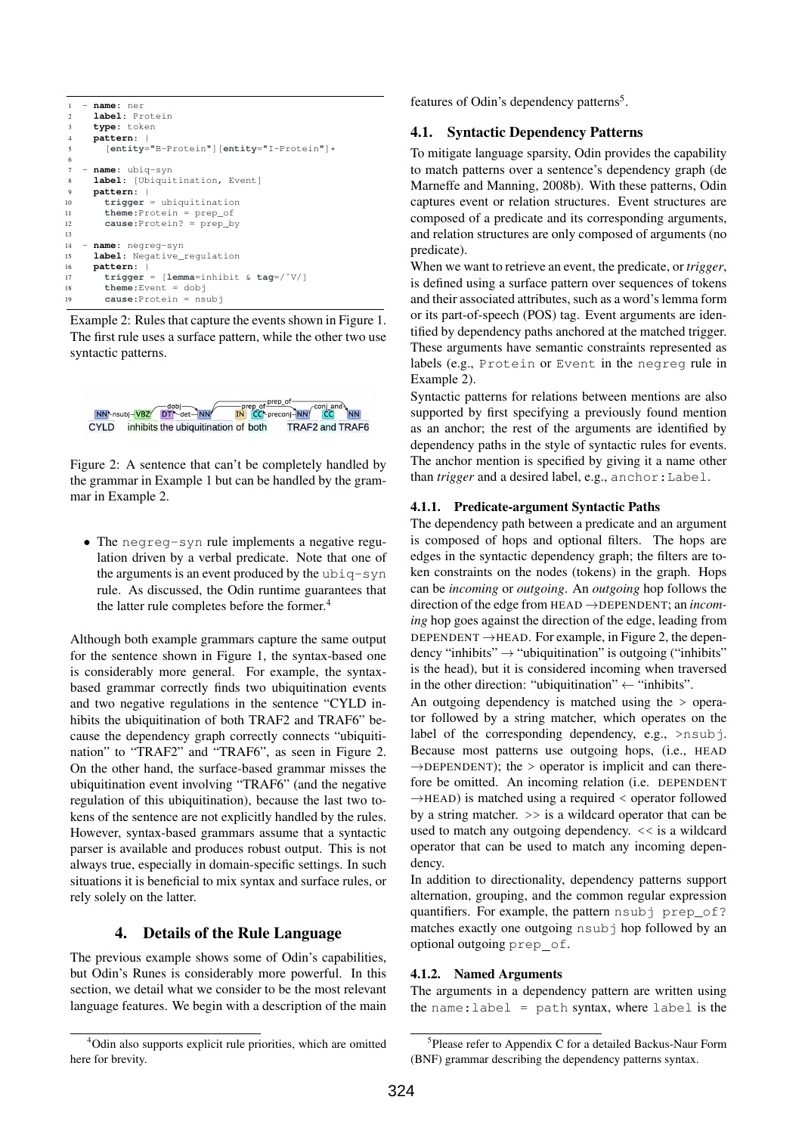```
1 - name: ner
     2 label: Protein
     3 type: token
     4 pattern: |
       5 [entity="B-Protein"][entity="I-Protein"]*
 6
     name: ubiq-syn
     1abel: [Ubiquitination, Event]
     9 pattern: |
10 trigger = ubiquitination
11 theme:Protein = prep_of
12 cause:Protein? = prep_by
13
14 - name: negreg-syn
     1abel: Negative_regulation
16 pattern: |
17 trigger = [lemma=inhibit & tag=/ˆV/]
18 theme:Event = dobj
19 cause:Protein = nsubj
```
Example 2: Rules that capture the events shown in Figure 1. The first rule uses a surface pattern, while the other two use syntactic patterns.



Figure 2: A sentence that can't be completely handled by the grammar in Example 1 but can be handled by the grammar in Example 2.

• The negreg-syn rule implements a negative regulation driven by a verbal predicate. Note that one of the arguments is an event produced by the ubiq-syn rule. As discussed, the Odin runtime guarantees that the latter rule completes before the former.<sup>4</sup>

Although both example grammars capture the same output for the sentence shown in Figure 1, the syntax-based one is considerably more general. For example, the syntaxbased grammar correctly finds two ubiquitination events and two negative regulations in the sentence "CYLD inhibits the ubiquitination of both TRAF2 and TRAF6" because the dependency graph correctly connects "ubiquitination" to "TRAF2" and "TRAF6", as seen in Figure 2. On the other hand, the surface-based grammar misses the ubiquitination event involving "TRAF6" (and the negative regulation of this ubiquitination), because the last two tokens of the sentence are not explicitly handled by the rules. However, syntax-based grammars assume that a syntactic parser is available and produces robust output. This is not always true, especially in domain-specific settings. In such situations it is beneficial to mix syntax and surface rules, or rely solely on the latter.

## 4. Details of the Rule Language

The previous example shows some of Odin's capabilities, but Odin's Runes is considerably more powerful. In this section, we detail what we consider to be the most relevant language features. We begin with a description of the main features of Odin's dependency patterns<sup>5</sup>.

### 4.1. Syntactic Dependency Patterns

To mitigate language sparsity, Odin provides the capability to match patterns over a sentence's dependency graph (de Marneffe and Manning, 2008b). With these patterns, Odin captures event or relation structures. Event structures are composed of a predicate and its corresponding arguments, and relation structures are only composed of arguments (no predicate).

When we want to retrieve an event, the predicate, or *trigger*, is defined using a surface pattern over sequences of tokens and their associated attributes, such as a word's lemma form or its part-of-speech (POS) tag. Event arguments are identified by dependency paths anchored at the matched trigger. These arguments have semantic constraints represented as labels (e.g., Protein or Event in the negreg rule in Example 2).

Syntactic patterns for relations between mentions are also supported by first specifying a previously found mention as an anchor; the rest of the arguments are identified by dependency paths in the style of syntactic rules for events. The anchor mention is specified by giving it a name other than *trigger* and a desired label, e.g., anchor:Label.

### 4.1.1. Predicate-argument Syntactic Paths

The dependency path between a predicate and an argument is composed of hops and optional filters. The hops are edges in the syntactic dependency graph; the filters are token constraints on the nodes (tokens) in the graph. Hops can be *incoming* or *outgoing*. An *outgoing* hop follows the direction of the edge from HEAD →DEPENDENT; an *incoming* hop goes against the direction of the edge, leading from DEPENDENT  $\rightarrow$  HEAD. For example, in Figure 2, the dependency "inhibits"  $\rightarrow$  "ubiquitination" is outgoing ("inhibits" is the head), but it is considered incoming when traversed in the other direction: "ubiquitination"  $\leftarrow$  "inhibits".

An outgoing dependency is matched using the > operator followed by a string matcher, which operates on the label of the corresponding dependency, e.g.,  $>$ nsubj. Because most patterns use outgoing hops, (i.e., HEAD  $\rightarrow$ DEPENDENT); the > operator is implicit and can therefore be omitted. An incoming relation (i.e. DEPENDENT  $\rightarrow$ HEAD) is matched using a required  $\lt$  operator followed by a string matcher. >> is a wildcard operator that can be used to match any outgoing dependency.  $<<$  is a wildcard operator that can be used to match any incoming dependency.

In addition to directionality, dependency patterns support alternation, grouping, and the common regular expression quantifiers. For example, the pattern nsubj prep\_of? matches exactly one outgoing nsubj hop followed by an optional outgoing prep of.

#### 4.1.2. Named Arguments

The arguments in a dependency pattern are written using the name:  $label = path syntax, where label is the$ 

<sup>4</sup>Odin also supports explicit rule priorities, which are omitted here for brevity.

<sup>&</sup>lt;sup>5</sup>Please refer to Appendix C for a detailed Backus-Naur Form (BNF) grammar describing the dependency patterns syntax.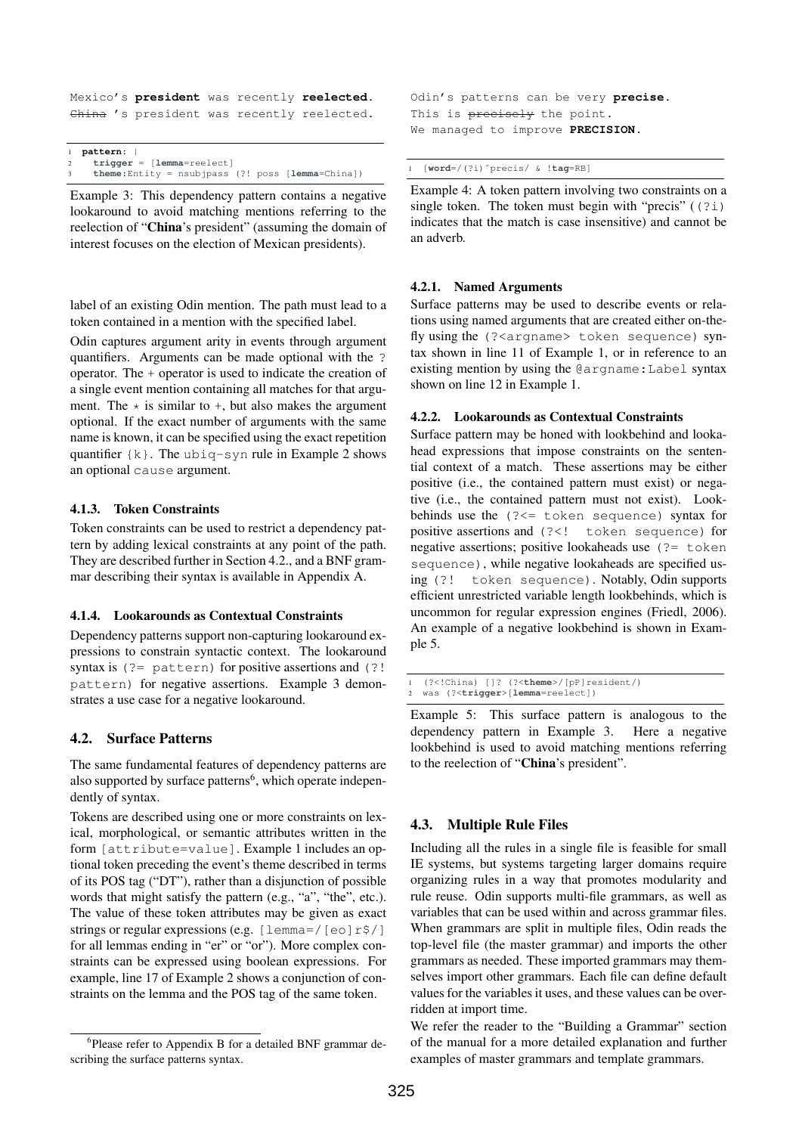```
Mexico's president was recently reelected.
China 's president was recently reelected.
```

|              | 1 pattern:                                              |
|--------------|---------------------------------------------------------|
| $\mathbf{2}$ | $triangle = [lemma = reelect]$                          |
|              | <b>theme:</b> Entity = nsubjpass $(?)$ poss $[lemma[C]$ |

Example 3: This dependency pattern contains a negative lookaround to avoid matching mentions referring to the reelection of "China's president" (assuming the domain of interest focuses on the election of Mexican presidents).

label of an existing Odin mention. The path must lead to a token contained in a mention with the specified label.

Odin captures argument arity in events through argument quantifiers. Arguments can be made optional with the ? operator. The + operator is used to indicate the creation of a single event mention containing all matches for that argument. The  $\star$  is similar to  $+$ , but also makes the argument optional. If the exact number of arguments with the same name is known, it can be specified using the exact repetition quantifier {k}. The ubiq-syn rule in Example 2 shows an optional cause argument.

## 4.1.3. Token Constraints

Token constraints can be used to restrict a dependency pattern by adding lexical constraints at any point of the path. They are described further in Section 4.2., and a BNF grammar describing their syntax is available in Appendix A.

#### 4.1.4. Lookarounds as Contextual Constraints

Dependency patterns support non-capturing lookaround expressions to constrain syntactic context. The lookaround syntax is  $(?)$  pattern) for positive assertions and  $(?)$ pattern) for negative assertions. Example 3 demonstrates a use case for a negative lookaround.

## 4.2. Surface Patterns

The same fundamental features of dependency patterns are also supported by surface patterns<sup>6</sup>, which operate independently of syntax.

Tokens are described using one or more constraints on lexical, morphological, or semantic attributes written in the form [attribute=value]. Example 1 includes an optional token preceding the event's theme described in terms of its POS tag ("DT"), rather than a disjunction of possible words that might satisfy the pattern (e.g., "a", "the", etc.). The value of these token attributes may be given as exact strings or regular expressions (e.g.  $[lemma]/[eo]r$/]$ for all lemmas ending in "er" or "or"). More complex constraints can be expressed using boolean expressions. For example, line 17 of Example 2 shows a conjunction of constraints on the lemma and the POS tag of the same token.

Odin's patterns can be very **precise**. This is precisely the point. We managed to improve **PRECISION**.

```
1 [word=/(?i)ˆprecis/ & !tag=RB]
```
Example 4: A token pattern involving two constraints on a single token. The token must begin with "precis"  $(2i)$ indicates that the match is case insensitive) and cannot be an adverb.

#### 4.2.1. Named Arguments

Surface patterns may be used to describe events or relations using named arguments that are created either on-thefly using the (?<argname> token sequence) syntax shown in line 11 of Example 1, or in reference to an existing mention by using the @argname:Label syntax shown on line 12 in Example 1.

#### 4.2.2. Lookarounds as Contextual Constraints

Surface pattern may be honed with lookbehind and lookahead expressions that impose constraints on the sentential context of a match. These assertions may be either positive (i.e., the contained pattern must exist) or negative (i.e., the contained pattern must not exist). Lookbehinds use the (?<= token sequence) syntax for positive assertions and (?<! token sequence) for negative assertions; positive lookaheads use  $(2)$  token sequence), while negative lookaheads are specified using (?! token sequence). Notably, Odin supports efficient unrestricted variable length lookbehinds, which is uncommon for regular expression engines (Friedl, 2006). An example of a negative lookbehind is shown in Example 5.

|  | 1 (? China) [1? (?<theme /[pP]resident/)            |
|--|-----------------------------------------------------|
|  | 2 was (?< <b>trigger</b> >[ <b>lemma</b> =reelect]) |

Example 5: This surface pattern is analogous to the dependency pattern in Example 3. Here a negative lookbehind is used to avoid matching mentions referring to the reelection of "China's president".

# 4.3. Multiple Rule Files

Including all the rules in a single file is feasible for small IE systems, but systems targeting larger domains require organizing rules in a way that promotes modularity and rule reuse. Odin supports multi-file grammars, as well as variables that can be used within and across grammar files. When grammars are split in multiple files, Odin reads the top-level file (the master grammar) and imports the other grammars as needed. These imported grammars may themselves import other grammars. Each file can define default values for the variables it uses, and these values can be overridden at import time.

We refer the reader to the "Building a Grammar" section of the manual for a more detailed explanation and further examples of master grammars and template grammars.

<sup>&</sup>lt;sup>6</sup>Please refer to Appendix B for a detailed BNF grammar describing the surface patterns syntax.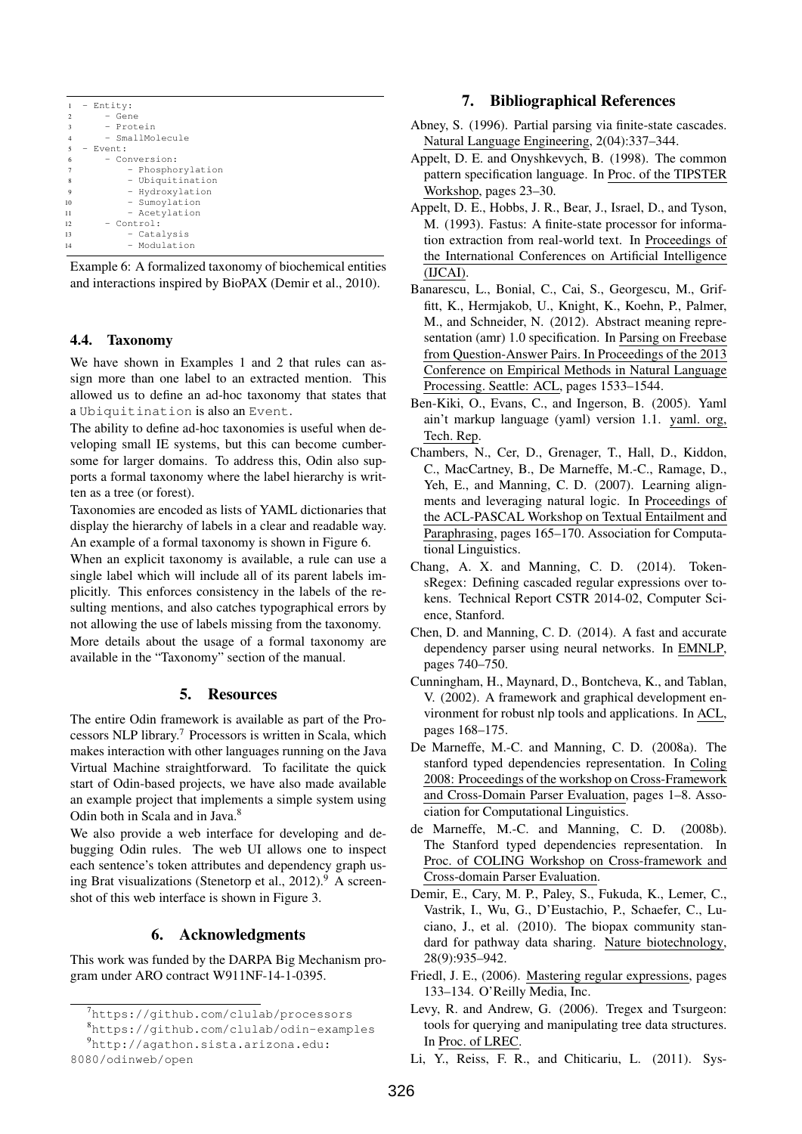| 1                        | - Entity:         |
|--------------------------|-------------------|
| $\overline{2}$           | - Gene            |
| $\overline{\mathbf{3}}$  | - Protein         |
| $\overline{4}$           | - SmallMolecule   |
| $\overline{\phantom{0}}$ | - Event:          |
| 6                        | - Conversion:     |
| $\overline{7}$           | - Phosphorylation |
| 8                        | - Ubiquitination  |
| 9                        | - Hydroxylation   |
| 10                       | - Sumoylation     |
| 11                       | - Acetylation     |
| 12                       | - Control:        |
| 13                       | - Catalysis       |
| 14                       | - Modulation      |

Example 6: A formalized taxonomy of biochemical entities and interactions inspired by BioPAX (Demir et al., 2010).

## 4.4. Taxonomy

We have shown in Examples 1 and 2 that rules can assign more than one label to an extracted mention. This allowed us to define an ad-hoc taxonomy that states that a Ubiquitination is also an Event.

The ability to define ad-hoc taxonomies is useful when developing small IE systems, but this can become cumbersome for larger domains. To address this, Odin also supports a formal taxonomy where the label hierarchy is written as a tree (or forest).

Taxonomies are encoded as lists of YAML dictionaries that display the hierarchy of labels in a clear and readable way. An example of a formal taxonomy is shown in Figure 6.

When an explicit taxonomy is available, a rule can use a single label which will include all of its parent labels implicitly. This enforces consistency in the labels of the resulting mentions, and also catches typographical errors by not allowing the use of labels missing from the taxonomy. More details about the usage of a formal taxonomy are available in the "Taxonomy" section of the manual.

# 5. Resources

The entire Odin framework is available as part of the Processors NLP library.<sup>7</sup> Processors is written in Scala, which makes interaction with other languages running on the Java Virtual Machine straightforward. To facilitate the quick start of Odin-based projects, we have also made available an example project that implements a simple system using Odin both in Scala and in Java.<sup>8</sup>

We also provide a web interface for developing and debugging Odin rules. The web UI allows one to inspect each sentence's token attributes and dependency graph using Brat visualizations (Stenetorp et al.,  $2012$ ).<sup>9</sup> A screenshot of this web interface is shown in Figure 3.

# 6. Acknowledgments

This work was funded by the DARPA Big Mechanism program under ARO contract W911NF-14-1-0395.

# 7. Bibliographical References

- Abney, S. (1996). Partial parsing via finite-state cascades. Natural Language Engineering, 2(04):337–344.
- Appelt, D. E. and Onyshkevych, B. (1998). The common pattern specification language. In Proc. of the TIPSTER Workshop, pages 23–30.
- Appelt, D. E., Hobbs, J. R., Bear, J., Israel, D., and Tyson, M. (1993). Fastus: A finite-state processor for information extraction from real-world text. In Proceedings of the International Conferences on Artificial Intelligence (IJCAI).
- Banarescu, L., Bonial, C., Cai, S., Georgescu, M., Griffitt, K., Hermjakob, U., Knight, K., Koehn, P., Palmer, M., and Schneider, N. (2012). Abstract meaning representation (amr) 1.0 specification. In Parsing on Freebase from Question-Answer Pairs. In Proceedings of the 2013 Conference on Empirical Methods in Natural Language Processing. Seattle: ACL, pages 1533–1544.
- Ben-Kiki, O., Evans, C., and Ingerson, B. (2005). Yaml ain't markup language (yaml) version 1.1. yaml. org, Tech. Rep.
- Chambers, N., Cer, D., Grenager, T., Hall, D., Kiddon, C., MacCartney, B., De Marneffe, M.-C., Ramage, D., Yeh, E., and Manning, C. D. (2007). Learning alignments and leveraging natural logic. In Proceedings of the ACL-PASCAL Workshop on Textual Entailment and Paraphrasing, pages 165–170. Association for Computational Linguistics.
- Chang, A. X. and Manning, C. D. (2014). TokensRegex: Defining cascaded regular expressions over tokens. Technical Report CSTR 2014-02, Computer Science, Stanford.
- Chen, D. and Manning, C. D. (2014). A fast and accurate dependency parser using neural networks. In EMNLP, pages 740–750.
- Cunningham, H., Maynard, D., Bontcheva, K., and Tablan, V. (2002). A framework and graphical development environment for robust nlp tools and applications. In ACL, pages 168–175.
- De Marneffe, M.-C. and Manning, C. D. (2008a). The stanford typed dependencies representation. In Coling 2008: Proceedings of the workshop on Cross-Framework and Cross-Domain Parser Evaluation, pages 1–8. Association for Computational Linguistics.
- de Marneffe, M.-C. and Manning, C. D. (2008b). The Stanford typed dependencies representation. In Proc. of COLING Workshop on Cross-framework and Cross-domain Parser Evaluation.
- Demir, E., Cary, M. P., Paley, S., Fukuda, K., Lemer, C., Vastrik, I., Wu, G., D'Eustachio, P., Schaefer, C., Luciano, J., et al. (2010). The biopax community standard for pathway data sharing. Nature biotechnology, 28(9):935–942.
- Friedl, J. E., (2006). Mastering regular expressions, pages 133–134. O'Reilly Media, Inc.
- Levy, R. and Andrew, G. (2006). Tregex and Tsurgeon: tools for querying and manipulating tree data structures. In Proc. of LREC.
- Li, Y., Reiss, F. R., and Chiticariu, L. (2011). Sys-

<sup>7</sup>https://github.com/clulab/processors

<sup>8</sup>https://github.com/clulab/odin-examples <sup>9</sup>http://agathon.sista.arizona.edu:

<sup>8080/</sup>odinweb/open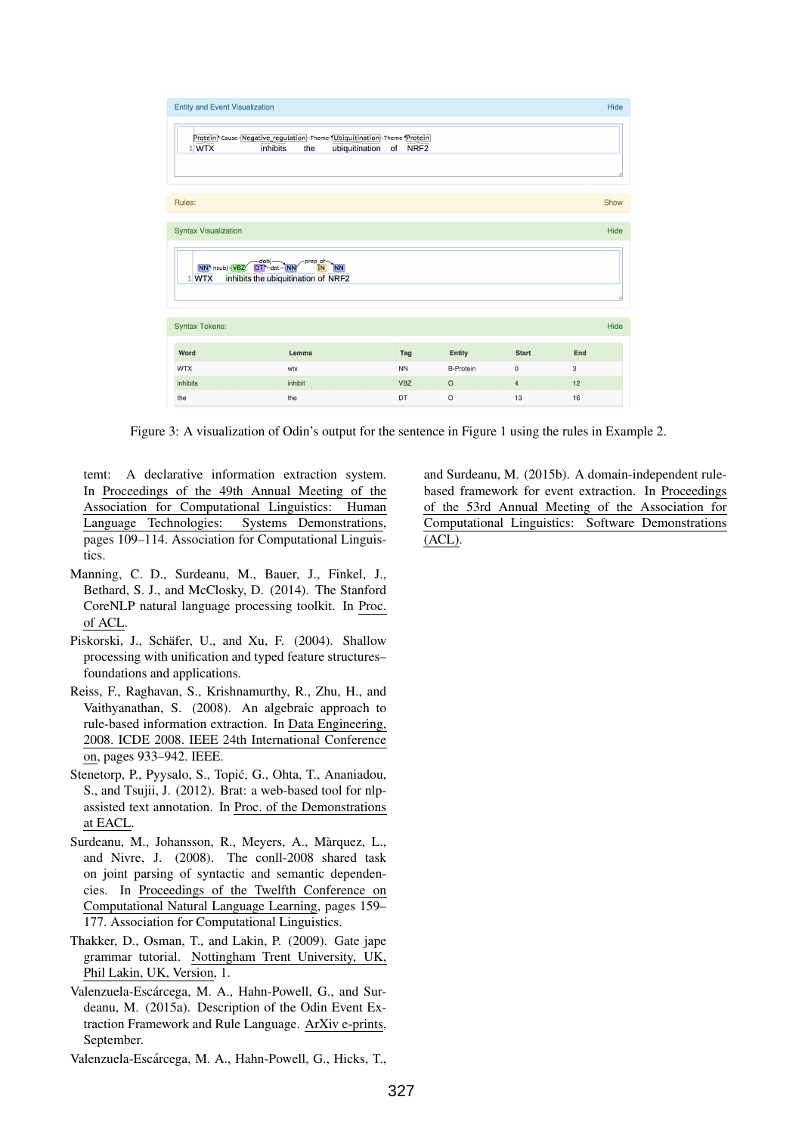| <b>Entity and Event Visualization</b>                                                                                                           |         |            |                  |                     |     |      |  |  |  |  |  |
|-------------------------------------------------------------------------------------------------------------------------------------------------|---------|------------|------------------|---------------------|-----|------|--|--|--|--|--|
| Protein \Cause-Negative_regulation-Theme-Ubiquitination-Theme-Protein<br>inhibits<br>ubiquitination<br>$1$ WTX<br>NRF <sub>2</sub><br>the<br>of |         |            |                  |                     |     |      |  |  |  |  |  |
| Rules:                                                                                                                                          |         |            |                  |                     |     | Show |  |  |  |  |  |
|                                                                                                                                                 |         |            |                  |                     |     |      |  |  |  |  |  |
| <b>Syntax Visualization</b>                                                                                                                     |         |            |                  |                     |     | Hide |  |  |  |  |  |
| dobj<br>DT det-NN<br>prep_of-<br>NN hsubj-VBZ<br><b>NN</b><br>inhibits the ubiquitination of NRF2<br>1 WTX<br>ı                                 |         |            |                  |                     |     |      |  |  |  |  |  |
| <b>Syntax Tokens:</b>                                                                                                                           |         |            |                  |                     |     | Hide |  |  |  |  |  |
| Word                                                                                                                                            | Lemma   | Tag        | <b>Entity</b>    | <b>Start</b>        | End |      |  |  |  |  |  |
| <b>WTX</b>                                                                                                                                      | wtx     | <b>NN</b>  | <b>B-Protein</b> | $\mathsf{O}\xspace$ | 3   |      |  |  |  |  |  |
| inhibits                                                                                                                                        | inhibit | <b>VBZ</b> | $\circ$          | $\overline{4}$      | 12  |      |  |  |  |  |  |
| the                                                                                                                                             | the     | DT         | $\circ$          | 13                  | 16  |      |  |  |  |  |  |

Figure 3: A visualization of Odin's output for the sentence in Figure 1 using the rules in Example 2.

temt: A declarative information extraction system. In Proceedings of the 49th Annual Meeting of the Association for Computational Linguistics: Human Language Technologies: Systems Demonstrations, pages 109–114. Association for Computational Linguistics.

- Manning, C. D., Surdeanu, M., Bauer, J., Finkel, J., Bethard, S. J., and McClosky, D. (2014). The Stanford CoreNLP natural language processing toolkit. In Proc. of ACL.
- Piskorski, J., Schäfer, U., and Xu, F. (2004). Shallow processing with unification and typed feature structures– foundations and applications.
- Reiss, F., Raghavan, S., Krishnamurthy, R., Zhu, H., and Vaithyanathan, S. (2008). An algebraic approach to rule-based information extraction. In Data Engineering, 2008. ICDE 2008. IEEE 24th International Conference on, pages 933–942. IEEE.
- Stenetorp, P., Pyysalo, S., Topic, G., Ohta, T., Ananiadou, ´ S., and Tsujii, J. (2012). Brat: a web-based tool for nlpassisted text annotation. In Proc. of the Demonstrations at EACL.
- Surdeanu, M., Johansson, R., Meyers, A., Màrquez, L., and Nivre, J. (2008). The conll-2008 shared task on joint parsing of syntactic and semantic dependencies. In Proceedings of the Twelfth Conference on Computational Natural Language Learning, pages 159– 177. Association for Computational Linguistics.
- Thakker, D., Osman, T., and Lakin, P. (2009). Gate jape grammar tutorial. Nottingham Trent University, UK, Phil Lakin, UK, Version, 1.
- Valenzuela-Escárcega, M. A., Hahn-Powell, G., and Surdeanu, M. (2015a). Description of the Odin Event Extraction Framework and Rule Language. ArXiv e-prints, September.
- Valenzuela-Escarcega, M. A., Hahn-Powell, G., Hicks, T., ´

and Surdeanu, M. (2015b). A domain-independent rulebased framework for event extraction. In Proceedings of the 53rd Annual Meeting of the Association for Computational Linguistics: Software Demonstrations (ACL).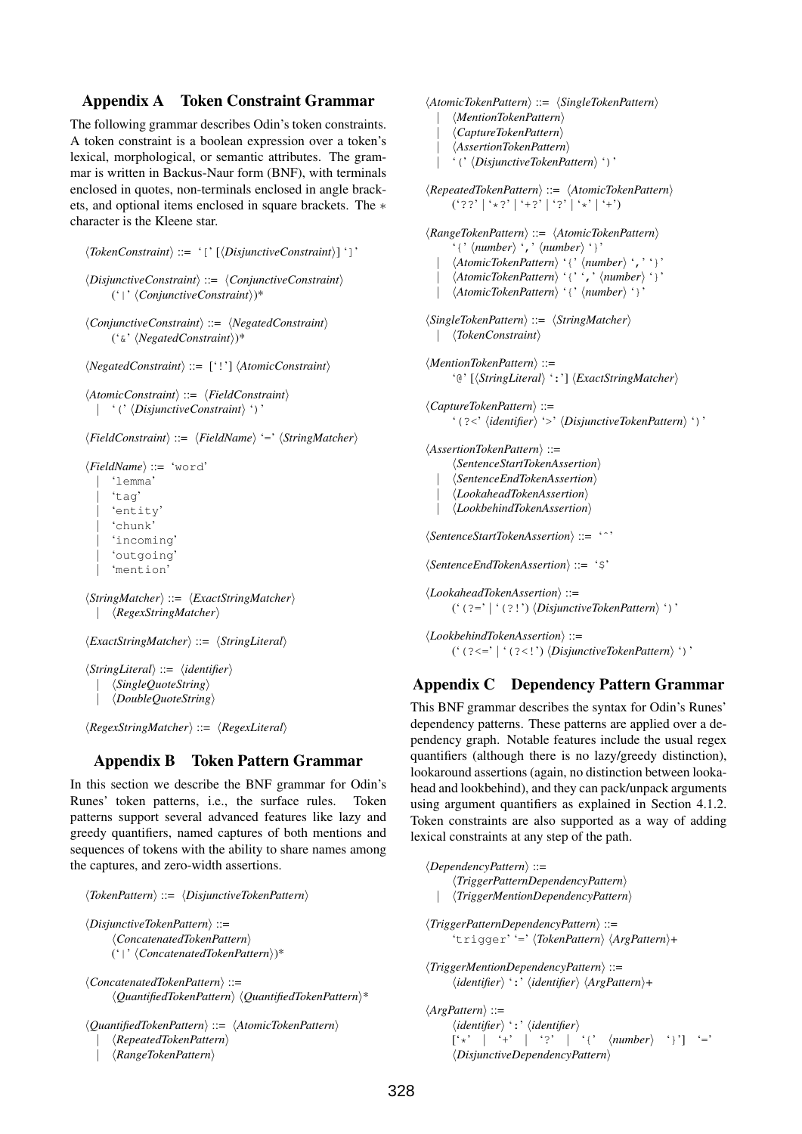## Appendix A Token Constraint Grammar

The following grammar describes Odin's token constraints. A token constraint is a boolean expression over a token's lexical, morphological, or semantic attributes. The grammar is written in Backus-Naur form (BNF), with terminals enclosed in quotes, non-terminals enclosed in angle brackets, and optional items enclosed in square brackets. The ∗ character is the Kleene star.

```
\langle TokenConstraint \rangle ::= '[' [\langle DisjunctiveConstraint \rangle']']hDisjunctiveConstrainti ::= hConjunctiveConstrainti
     ('|' hConjunctiveConstrainti)*
hConjunctiveConstrainti ::= hNegatedConstrainti
     ('\&' \langleright\)*
```

```
\langle NegatedConstraint \rangle ::= [''] \langle AtomicConstraint \rangle
```

```
\langle AtomicConstraint \rangle ::= \langle FieldConstraint \rangle' (' \DisjunctiveConstraint \')'
```
h*FieldConstraint*i ::= h*FieldName*i '=' h*StringMatcher*i

```
hFieldNamei ::= 'word'
    | 'lemma'
    'tag'
    'entity
    | 'chunk'
    'incoming'
    'outgoing'
    | 'mention'
```

```
hStringMatcheri ::= hExactStringMatcheri
   | hRegexStringMatcheri
```

```
hExactStringMatcheri ::= hStringLiterali
```

```
hStringLiterali ::= hidentifieri
     | hSingleQuoteStringi
     | hDoubleQuoteStringi
```
 $\langle RegexStringMatcher \rangle ::= \langle RegexLiteral \rangle$ 

# Appendix B Token Pattern Grammar

In this section we describe the BNF grammar for Odin's Runes' token patterns, i.e., the surface rules. Token patterns support several advanced features like lazy and greedy quantifiers, named captures of both mentions and sequences of tokens with the ability to share names among the captures, and zero-width assertions.

```
hTokenPatterni ::= hDisjunctiveTokenPatterni
hDisjunctiveTokenPatterni ::=
     hConcatenatedTokenPatterni
    ('|' hConcatenatedTokenPatterni)*
hConcatenatedTokenPatterni ::=
     hQuantifiedTokenPatterni hQuantifiedTokenPatterni*
hQuantifiedTokenPatterni ::= hAtomicTokenPatterni
```

```
| hRepeatedTokenPatterni
| hRangeTokenPatterni
```

```
\langle AtomicTokenPattern \rangle ::= \langle SingleTokenPattern \rangle
```

```
| hMentionTokenPatterni
```

```
| hCaptureTokenPatterni
| hAssertionTokenPatterni
```
' (' *\DisjunctiveTokenPattern*)')'

 $\langle RepatedTokenPattern \rangle ::= \langle AtomicTokenPattern \rangle$  $('??' | '*/?' | '+?' | '?' | '*/' | '+)$ 

```
\langle RangeTokenPattern \rangle ::= \langle AtomicTokenPattern \rangle'{' \langlenumber\rangle',' \langlenumber\rangle'}'
  | \langle AtomicTokenPattern\rangle '{' \langle number\rangle',''}'
  | \langle AtomicTokenPattern\rangle '{'',' \number\'}'
      \langle AtomicTokenPattern \rangle' {' \langle number \rangle' '
hSingleTokenPatterni ::= hStringMatcheri
  | \langle TokenConstraint\ranglehMentionTokenPatterni ::=
      '@' [\StringLiteral \, ':'] \ExactStringMatcher \,
hCaptureTokenPatterni ::=
      '(?<' \/identifier} '>' \/DisjunctiveTokenPattern} ')'
hAssertionTokenPatterni ::=
      \langleSentenceStartTokenAssertion\rangle| hSentenceEndTokenAssertioni
      | hLookaheadTokenAssertioni
      \langle Look behindTokenAs,hSentenceStartTokenAssertioni ::= 'ˆ'
hSentenceEndTokenAssertioni ::= '$'
hLookaheadTokenAssertioni ::=
      ('(?=' | '(?!') \langle DisjunctiveTokenPattern \rangle ')'
hLookbehindTokenAssertioni ::=
      ('(?<=' | '(?<!') \langle DisjunctiveTokenPattern \rangle ')'
```
# Appendix C Dependency Pattern Grammar

This BNF grammar describes the syntax for Odin's Runes' dependency patterns. These patterns are applied over a dependency graph. Notable features include the usual regex quantifiers (although there is no lazy/greedy distinction), lookaround assertions (again, no distinction between lookahead and lookbehind), and they can pack/unpack arguments using argument quantifiers as explained in Section 4.1.2. Token constraints are also supported as a way of adding lexical constraints at any step of the path.

h*DependencyPattern*i ::= h*TriggerPatternDependencyPattern*i | h*TriggerMentionDependencyPattern*i h*TriggerPatternDependencyPattern*i ::= 'trigger' '='  $\langle TokenPattern \rangle \langle ArgPattern \rangle +$ h*TriggerMentionDependencyPattern*i ::=  $\langle$ *identifier* $\rangle$  ':'  $\langle$ *identifier* $\rangle$   $\langle$ *ArgPattern* $\rangle$ + h*ArgPattern*i ::=

 $\langle$ *identifier* $\rangle$ <sup>\*</sup>:<sup>\*</sup>  $\langle$ *identifier* $\rangle$  $\left[\begin{array}{cc} \uparrow \\ \uparrow \end{array} \right]$   $\left[\begin{array}{cc} \downarrow \\ \uparrow \end{array} \right]$   $\left[\begin{array}{cc} \uparrow \\ \uparrow \end{array} \right]$   $\left[\begin{array}{cc} \uparrow \\ \uparrow \end{array} \right]$   $\left[\begin{array}{cc} \uparrow \\ \uparrow \end{array} \right]$   $\left[\begin{array}{cc} \uparrow \\ \downarrow \end{array} \right]$   $\left[\begin{array}{cc} \downarrow \\ \downarrow \end{array} \right]$ h*DisjunctiveDependencyPattern*i